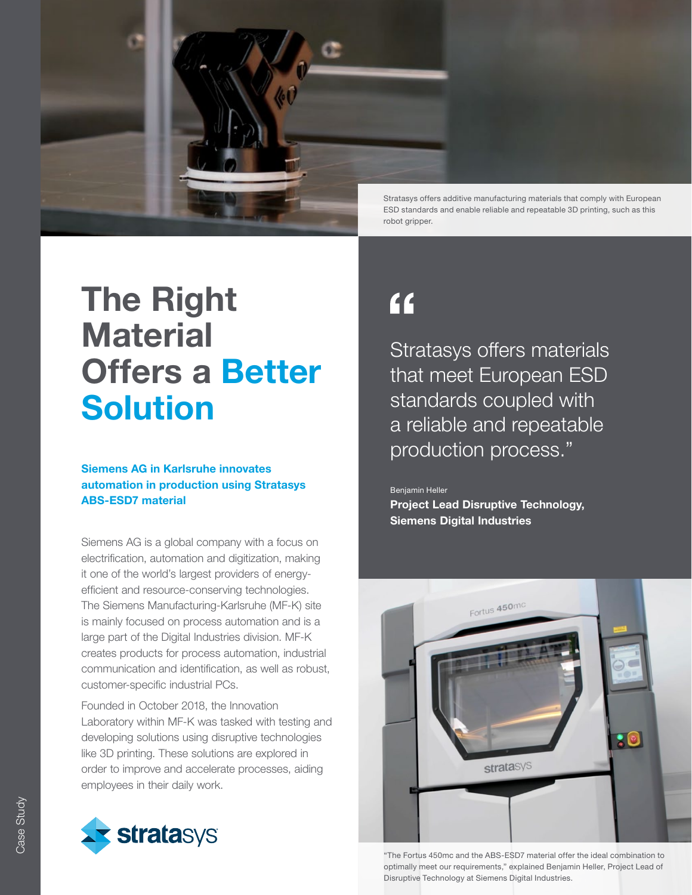

# The Right **Material** Offers a Better Solution

### Siemens AG in Karlsruhe innovates automation in production using Stratasys ABS-ESD7 material

Siemens AG is a global company with a focus on electrification, automation and digitization, making it one of the world's largest providers of energyefficient and resource-conserving technologies. The Siemens Manufacturing-Karlsruhe (MF-K) site is mainly focused on process automation and is a large part of the Digital Industries division. MF-K creates products for process automation, industrial communication and identification, as well as robust, customer-specific industrial PCs.

Founded in October 2018, the Innovation Laboratory within MF-K was tasked with testing and developing solutions using disruptive technologies like 3D printing. These solutions are explored in order to improve and accelerate processes, aiding employees in their daily work.



## $f$

Stratasys offers materials that meet European ESD standards coupled with a reliable and repeatable production process."

Benjamin Heller

Project Lead Disruptive Technology, Siemens Digital Industries



"The Fortus 450mc and the ABS-ESD7 material offer the ideal combination to optimally meet our requirements," explained Benjamin Heller, Project Lead of Disruptive Technology at Siemens Digital Industries.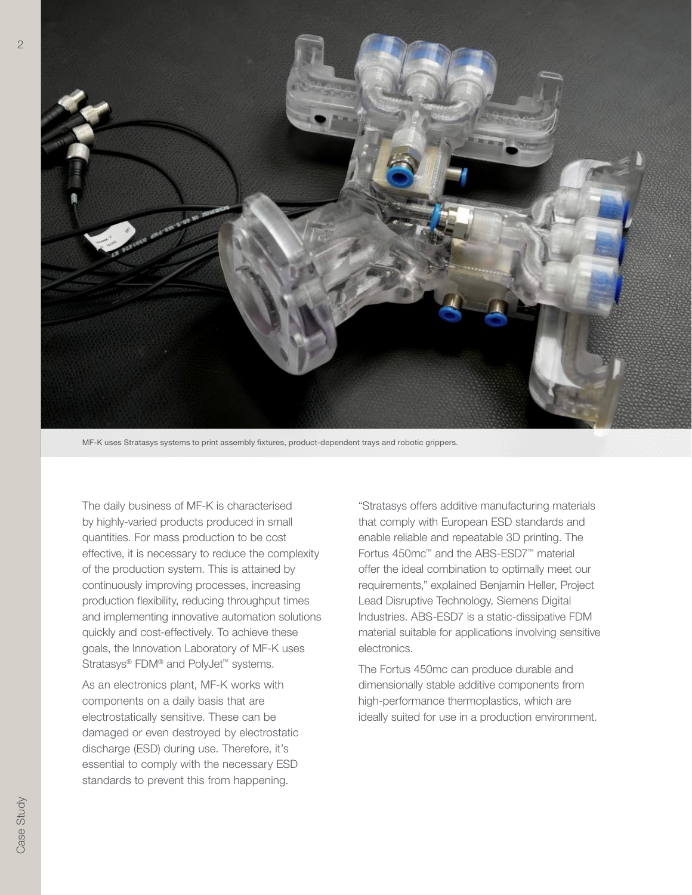

MF-K uses Stratasys systems to print assembly fixtures, product-dependent trays and robotic grippers.

The daily business of MF-K is characterised by highly-varied products produced in small quantities. For mass production to be cost effective, it is necessary to reduce the complexity of the production system. This is attained by continuously improving processes, increasing production flexibility, reducing throughput times and implementing innovative automation solutions quickly and cost-effectively. To achieve these goals, the Innovation Laboratory of MF-K uses Stratasys® FDM® and PolyJet™ systems.

As an electronics plant, MF-K works with components on a daily basis that are electrostatically sensitive. These can be damaged or even destroyed by electrostatic discharge (ESD) during use. Therefore, it's essential to comply with the necessary ESD standards to prevent this from happening.

"Stratasys offers additive manufacturing materials that comply with European ESD standards and enable reliable and repeatable 3D printing. The Fortus 450mc™ and the ABS-ESD7™ material offer the ideal combination to optimally meet our requirements," explained Benjamin Heller, Project Lead Disruptive Technology, Siemens Digital Industries. ABS-ESD7 is a static-dissipative FDM material suitable for applications involving sensitive electronics.

The Fortus 450mc can produce durable and dimensionally stable additive components from high-performance thermoplastics, which are ideally suited for use in a production environment.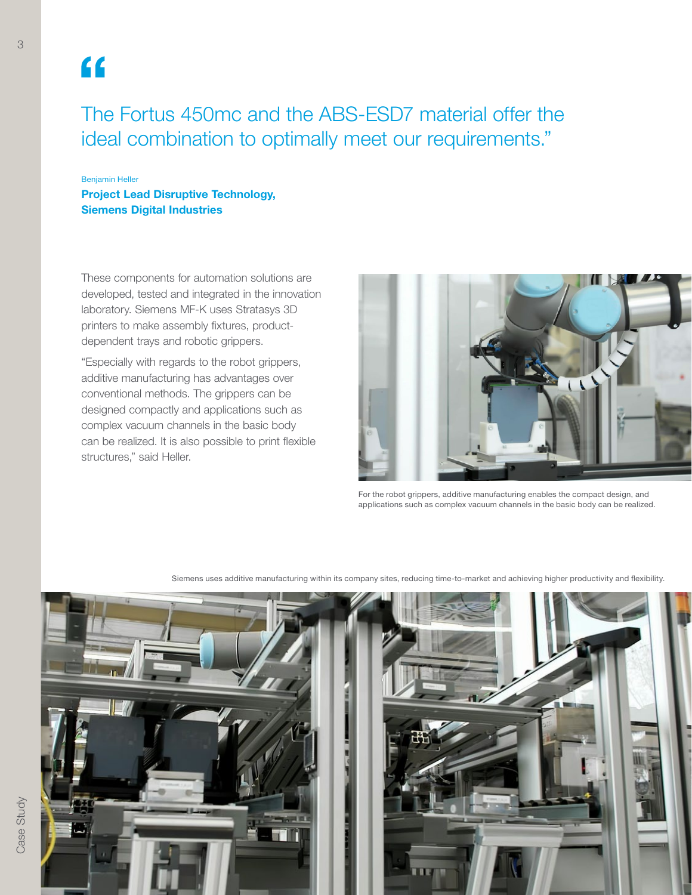## $\overline{\mathbf{G}}$

3

The Fortus 450mc and the ABS-ESD7 material offer the ideal combination to optimally meet our requirements."

Benjamin Heller Project Lead Disruptive Technology, Siemens Digital Industries

These components for automation solutions are developed, tested and integrated in the innovation laboratory. Siemens MF-K uses Stratasys 3D printers to make assembly fixtures, productdependent trays and robotic grippers.

"Especially with regards to the robot grippers, additive manufacturing has advantages over conventional methods. The grippers can be designed compactly and applications such as complex vacuum channels in the basic body can be realized. It is also possible to print flexible structures," said Heller.



For the robot grippers, additive manufacturing enables the compact design, and applications such as complex vacuum channels in the basic body can be realized.



Siemens uses additive manufacturing within its company sites, reducing time-to-market and achieving higher productivity and flexibility.